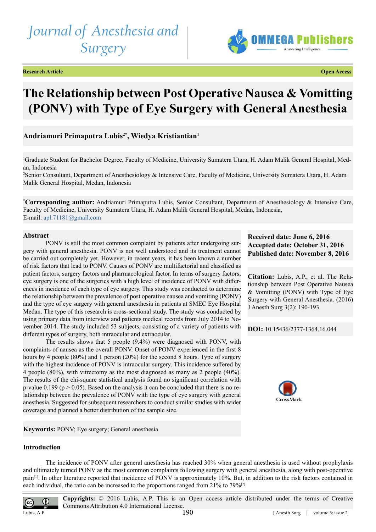# *Journal of Anesthesia and Surgery*





## **The Relationship between Post Operative Nausea & Vomitting (PONV) with Type of Eye Surgery with General Anesthesia**

### **Andriamuri Primaputra Lubis2\*, Wiedya Kristiantian1**

1 Graduate Student for Bachelor Degree, Faculty of Medicine, University Sumatera Utara, H. Adam Malik General Hospital, Medan, Indonesia

2 Senior Consultant, Department of Anesthesiology & Intensive Care, Faculty of Medicine, University Sumatera Utara, H. Adam Malik General Hospital, Medan, Indonesia

**\* Corresponding author:** Andriamuri Primaputra Lubis, Senior Consultant, Department of Anesthesiology & Intensive Care, Faculty of Medicine, University Sumatera Utara, H. Adam Malik General Hospital, Medan, Indonesia, E-mail: [apl.71181@gmail.com](mailto:apl.71181@gmail.com)

#### **Abstract**

PONV is still the most common complaint by patients after undergoing surgery with general anesthesia. PONV is not well understood and its treatment cannot be carried out completely yet. However, in recent years, it has been known a number of risk factors that lead to PONV. Causes of PONV are multifactorial and classified as patient factors, surgery factors and pharmacological factor. In terms of surgery factors, eye surgery is one of the surgeries with a high level of incidence of PONV with differences in incidence of each type of eye surgery. This study was conducted to determine the relationship between the prevalence of post operative nausea and vomiting (PONV) and the type of eye surgery with general anesthesia in patients at SMEC Eye Hospital Medan. The type of this research is cross-sectional study. The study was conducted by using primary data from interview and patients medical records from July 2014 to November 2014. The study included 53 subjects, consisting of a variety of patients with different types of surgery, both intraocular and extraocular.

The results shows that 5 people (9.4%) were diagnosed with PONV, with complaints of nausea as the overall PONV. Onset of PONV experienced in the first 8 hours by 4 people (80%) and 1 person (20%) for the second 8 hours. Type of surgery with the highest incidence of PONV is intraocular surgery. This incidence suffered by 4 people (80%), with vitrectomy as the most diagnosed as many as 2 people (40%). The results of the chi-square statistical analysis found no significant correlation with p-value 0.199 ( $p > 0.05$ ). Based on the analysis it can be concluded that there is no relationship between the prevalence of PONV with the type of eye surgery with general anesthesia. Suggested for subsequent researchers to conduct similar studies with wider coverage and planned a better distribution of the sample size.

**Keywords:** PONV; Eye surgery; General anesthesia

#### **Received date: June 6, 2016 Accepted date: October 31, 2016 Published date: November 8, 2016**

**Citation:** Lubis, A.P., et al. The Relationship between Post Operative Nausea & Vomitting (PONV) with Type of Eye Surgery with General Anesthesia. (2016) J Anesth Surg 3(2): 190-193.

**DOI:** [10.15436/2377-1364.16.0](http://www.dx.doi.org/10.15436/2377-1364.16.044
)44



**Introduction**

The incidence of PONV after general anesthesia has reached 30% when general anesthesia is used without prophylaxis and ultimately turned PONV as the most common complaints following surgery with general anesthesia, along with post-operative pain[\[1\].](#page-2-0) In other literature reported that incidence of PONV is approximately 10%. But, in addition to the risk factors contained in each individual, the ratio can be increased to the proportions ranged from 21% to 79%[\[2\]](#page-2-1).

 $\bf{0}$ 

**Copyrights:** © 2016 Lubis, A.P. This is an Open access article distributed under the terms of Creative Commons Attribution 4.0 International License. Lubis, A.P  $190$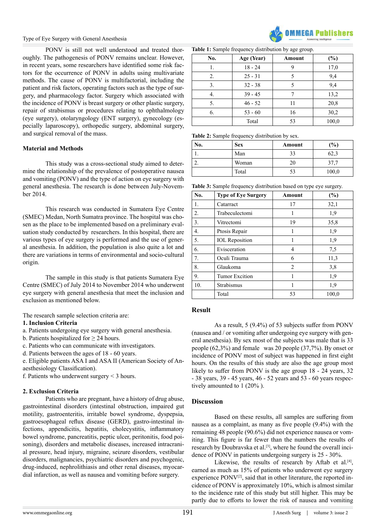PONV is still not well understood and treated thoroughly. The pathogenesis of PONV remains unclear. However, in recent years, some researchers have identified some risk factors for the occurrence of PONV in adults using multivariate methods. The cause of PONV is multifactorial, including the patient and risk factors, operating factors such as the type of surgery, and pharmacology factor. Surgery which associated with the incidence of PONV is breast surgery or other plastic surgery, repair of strabismus or procedures relating to ophthalmology (eye surgery), otolaryngology (ENT surgery), gynecology (especially laparoscopy), orthopedic surgery, abdominal surgery, and surgical removal of the mass.

#### **Material and Methods**

This study was a cross-sectional study aimed to determine the relationship of the prevalence of postoperative nausea and vomiting (PONV) and the type of action on eye surgery with general anesthesia. The research is done between July-November 2014.

This research was conducted in Sumatera Eye Centre (SMEC) Medan, North Sumatra province. The hospital was chosen as the place to be implemented based on a preliminary evaluation study conducted by researchers. In this hospital, there are various types of eye surgery is performed and the use of general anesthesia. In addition, the population is also quite a lot and there are variations in terms of environmental and socio-cultural origin.

The sample in this study is that patients Sumatera Eye Centre (SMEC) of July 2014 to November 2014 who underwent eye surgery with general anesthesia that meet the inclusion and exclusion as mentioned below.

The research sample selection criteria are:

#### **1. Inclusion Criteria**

a. Patients undergoing eye surgery with general anesthesia.

- b. Patients hospitalized for  $\geq$  24 hours.
- c. Patients who can communicate with investigators.
- d. Patients between the ages of 18 60 years.

e. Eligible patients ASA I and ASA II (American Society of Anaesthesiology Classification).

f. Patients who underwent surgery < 3 hours.

#### **2. Exclusion Criteria**

Patients who are pregnant, have a history of drug abuse, gastrointestinal disorders (intestinal obstruction, impaired gut motility, gastroenteritis, irritable bowel syndrome, dyspepsia, gastroesophageal reflux disease (GERD), gastro-intestinal infections, appendicitis, hepatitis, cholecystitis, inflammatory bowel syndrome, pancreatitis, peptic ulcer, peritonitis, food poisoning), disorders and metabolic diseases, increased intracranial pressure, head injury, migraine, seizure disorders, vestibular disorders, malignancies, psychiatric disorders and psychogenic, drug-induced, nephrolithiasis and other renal diseases, myocardial infarction, as well as nausea and vomiting before surgery.



**Table 1:** Sample frequency distribution by age group.

| No. | Age (Year) | Amount | $(\%)$ |
|-----|------------|--------|--------|
| 1.  | $18 - 24$  | 9      | 17,0   |
| 2.  | $25 - 31$  |        | 9,4    |
| 3.  | $32 - 38$  | 5      | 9,4    |
| 4.  | $39 - 45$  |        | 13,2   |
| 5.  | $46 - 52$  | 11     | 20,8   |
| 6.  | $53 - 60$  | 16     | 30,2   |
|     | Total      | 53     | 100,0  |

**Table 2:** Sample frequency distribution by sex.

| No. | <b>Sex</b> | Amount | $\frac{9}{6}$ |
|-----|------------|--------|---------------|
| . . | Man        | 33     | 62.3          |
|     | Woman      | 20     | 37,7          |
|     | Total      | 53     | 100,0         |

**Table 3:** Sample frequency distribution based on type eye surgery.

| No. | <b>Type of Eye Surgery</b> | Amount | $(\%)$ |
|-----|----------------------------|--------|--------|
| 1.  | Catarract                  | 17     | 32,1   |
| 2.  | Trabeculectomi             | 1      | 1,9    |
| 3.  | Vitrectomi                 | 19     | 35,8   |
| 4.  | Ptosis Repair              | 1      | 1,9    |
| 5.  | <b>IOL</b> Reposition      | 1      | 1,9    |
| 6.  | Evisceration               | 4      | 7,5    |
| 7.  | Oculi Trauma               | 6      | 11,3   |
| 8.  | Glaukoma                   | 2      | 3,8    |
| 9.  | <b>Tumor Excition</b>      |        | 1,9    |
| 10. | Strabismus                 |        | 1,9    |
|     | Total                      | 53     | 100,0  |

#### **Result**

As a result, 5 (9.4%) of 53 subjects suffer from PONV (nausea and / or vomiting after undergoing eye surgery with general anesthesia). By sex most of the subjects was male that is 33 people (62,3%) and female was 20 people (37,7%). By onset or incidence of PONV most of subject was happened in first eight hours. On the results of this study are also the age group most likely to suffer from PONV is the age group 18 - 24 years, 32 - 38 years, 39 - 45 years, 46 - 52 years and 53 - 60 years respectively amounted to 1 (20% ).

#### **Discussion**

Based on these results, all samples are suffering from nausea as a complaint, as many as five people (9.4%) with the remaining 48 people (90.6%) did not experience nausea or vomiting. This figure is far fewer than the numbers the results of research by Doubravska et al.<sup>[3]</sup>, where he found the overall incidence of PONV in patients undergoing surgery is 25 - 30%.

Likewise, the results of research by Aftab et al. $[4]$ , earned as much as 15% of patients who underwent eye surgery experience PONV<sup>[\[2\]](#page-2-1)</sup>, said that in other literature, the reported incidence of PONV is approximately 10%, which is almost similar to the incidence rate of this study but still higher. This may be partly due to efforts to lower the risk of nausea and vomiting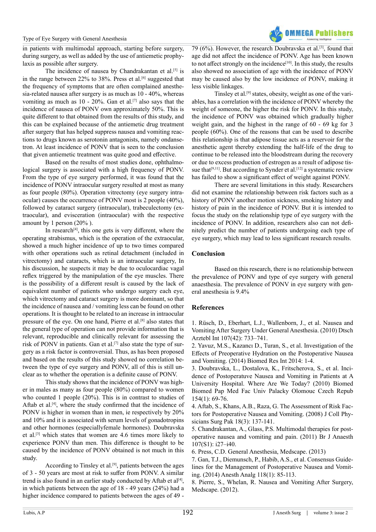in patients with multimodal approach, starting before surgery, during surgery, as well as added by the use of antiemetic prophylaxis as possible after surgery.

The incidence of nausea by Chandrakantan et al.<sup>[5]</sup> is in the range between 22% to 38%. Press et al.<sup>[6]</sup> suggested that the frequency of symptoms that are often complained anesthesia-related nausea after surgery is as much as 10 - 40%, whereas vomiting as much as 10 - 20%. Gan et al.<sup>[7]</sup> also says that the incidence of nausea of PONV own approximately 50%. This is quite different to that obtained from the results of this study, and this can be explained because of the antiemetic drug treatment after surgery that has helped suppress nausea and vomiting reactions to drugs known as serotonin antagonists, namely ondansetron. At least incidence of PONV that is seen to the conclusion that given antiemetic treatment was quite good and effective.

Based on the results of most studies done, ophthalmological surgery is associated with a high frequency of PONV. From the type of eye surgery performed, it was found that the incidence of PONV intraocular surgery resulted at most as many as four people (80%). Operation vitrectomy (eye surgery intraocular) causes the occurrence of PONV most is 2 people (40%), followed by cataract surgery (intraocular), trabeculectomy (extraocular), and evisceration (intraocular) with the respective amount by 1 person (20% ).

In research<sup>[4]</sup>, this one gets is very different, where the operating strabismus, which is the operation of the extraocular, showed a much higher incidence of up to two times compared with other operations such as retinal detachment (included in vitrectomy) and cataracts, which is an intraocular surgery, In his discussion, he suspects it may be due to oculocardiac vagal reflex triggered by the manipulation of the eye muscles. There is the possibility of a different result is caused by the lack of equivalent number of patients who undergo surgery each eye, which vitrectomy and cataract surgery is more dominant, so that the incidence of nausea and / vomiting less can be found on other operations. It is thought to be related to an increase in intraocular pressure of the eye. On one hand, Pierre et al.[\[8\]](#page-2-7) also states that the general type of operation can not provide information that is relevant, reproducible and clinically relevant for assessing the risk of PONV in patients. Gan et al.<sup>[7]</sup> also state the type of surgery as a risk factor is controversial. Thus, as has been proposed and based on the results of this study showed no correlation between the type of eye surgery and PONV, all of this is still unclear as to whether the operation is a definite cause of PONV.

This study shows that the incidence of PONV was higher in males as many as four people (80%) compared to women who counted 1 people (20%). This is in contrast to studies of Aftab et al.<sup>[4]</sup>, where the study confirmed that the incidence of PONV is higher in women than in men, ie respectively by 20% and 10% and it is associated with serum levels of gonadotropins and other hormones (especiallyfemale hormones). Doubravska et al.[\[3\]](#page-2-2) which states that women are 4.6 times more likely to experience PONV than men. This difference is thought to be caused by the incidence of PONV obtained is not much in this study.

According to Tinsley et al.<sup>[9]</sup>, patients between the ages of 3 - 50 years are most at risk to suffer from PONV. A similar trend is also found in an earlier study conducted by Aftab et a[l\[4\],](#page-2-3) in which patients between the age of 18 - 49 years (24%) had a higher incidence compared to patients between the ages of 49 -

79 (6%). However, the research Doubravska et al.[\[3\],](#page-2-2) found that age did not affect the incidence of PONV. Age has been known to not affect strongly on the incidence<sup>[10]</sup>. In this study, the results also showed no association of age with the incidence of PONV may be caused also by the low incidence of PONV, making it

**OMMFCA Publishers** 

less visible linkages. Tinsley et al[.\[9\]](#page-3-0) states, obesity, weight as one of the variables, has a correlation with the incidence of PONV whereby the weight of someone, the higher the risk for PONV. In this study, the incidence of PONV was obtained which gradually higher weight gain, and the highest in the range of 60 - 69 kg for 3 people (60%). One of the reasons that can be used to describe this relationship is that adipose tissue acts as a reservoir for the anesthetic agent thereby extending the half-life of the drug to continue to be released into the bloodstream during the recovery or due to excess production of estrogen as a result of adipose tis-sue that<sup>[9,11]</sup>. But according to Synder et al.<sup>[\[12\]](#page-3-2)</sup> a systematic review has failed to show a significant effect of weight against PONV.

There are several limitations in this study. Researchers did not examine the relationship between risk factors such as a history of PONV another motion sickness, smoking history and history of pain in the incidence of PONV. But it is intended to focus the study on the relationship type of eye surgery with the incidence of PONV. In addition, researchers also can not definitely predict the number of patients undergoing each type of eye surgery, which may lead to less significant research results.

#### **Conclusion**

Based on this research, there is no relationship between the prevalence of PONV and type of eye surgery with general anaesthesia. The prevalence of PONV in eye surgery with general anesthesia is 9.4%

#### **References**

<span id="page-2-0"></span>1. [Rüsch, D., Eberhart, L.J., Wallenborn, J., et al. Nausea and](https://www.ncbi.nlm.nih.gov/pmc/articles/PMC2977990/) [Vomiting After Surgery Under General Anesthesia. \(2010\) Dtsch](https://www.ncbi.nlm.nih.gov/pmc/articles/PMC2977990/) [Arztebl Int 107\(42\): 733–741.](https://www.ncbi.nlm.nih.gov/pmc/articles/PMC2977990/)

<span id="page-2-1"></span>2. [Yavuz, M.S., Kazancı D., Turan, S., et al. Investigation of the](https://www.ncbi.nlm.nih.gov/pubmed/24563861) [Effects of Preoperative Hydration on the Postoperative Nausea](https://www.ncbi.nlm.nih.gov/pubmed/24563861) [and Vomiting. \(2014\) Biomed Res Int 2014: 1-4.](https://www.ncbi.nlm.nih.gov/pubmed/24563861)

<span id="page-2-2"></span>3. [Doubravska, L., Dostalova, K., Fritscherova, S., et al. Inci](https://www.ncbi.nlm.nih.gov/pubmed/20445713)[dence of Postoperatuve Nausea and Vomiting in Patients at A](https://www.ncbi.nlm.nih.gov/pubmed/20445713) [University Hospital. Where Are We Today? \(2010\) Biomed](https://www.ncbi.nlm.nih.gov/pubmed/20445713) [Biomed Pap Med Fac Univ Palacky Olomouc Czech Repub](https://www.ncbi.nlm.nih.gov/pubmed/20445713) [154\(1\): 69-76.](https://www.ncbi.nlm.nih.gov/pubmed/20445713)

<span id="page-2-3"></span>4. [Aftab, S., Khans, A.B., Raza, G. The Assessment of Risk Fac](https://www.ncbi.nlm.nih.gov/pubmed/18460239)[tors for Postoperative Nausea and Vomiting. \(2008\) J Coll Phy](https://www.ncbi.nlm.nih.gov/pubmed/18460239)[sicians Surg Pak 18\(3\): 137-141](https://www.ncbi.nlm.nih.gov/pubmed/18460239).

<span id="page-2-4"></span>5. [Chandrakantan, A., Glass, P.S. Multimodal therapies for post](https://www.ncbi.nlm.nih.gov/pubmed/22156268)[operative nausea and vomiting and pain. \(2011\) Br J Anaesth](https://www.ncbi.nlm.nih.gov/pubmed/22156268) [107\(S1\): i27–i40.](https://www.ncbi.nlm.nih.gov/pubmed/22156268)

<span id="page-2-5"></span>6. [Press, C.D. General Anesthesia, Medscape. \(2013\)](http://emedicine.medscape.com/article/1271543-overview)

<span id="page-2-6"></span>7. [Gan, T.J., Diemunsch, P., Habib, A.S., et al. Consensus Guide](https://www.ncbi.nlm.nih.gov/pubmed/24356162)[lines for the Management of Postoperative Nausea and Vomit](https://www.ncbi.nlm.nih.gov/pubmed/24356162)[ing. \(2014\) Anesth Analg 118\(1\): 85-113.](https://www.ncbi.nlm.nih.gov/pubmed/24356162)

<span id="page-2-7"></span>8. Pierre, S., Whelan, R. Nausea and Vomiting After Surgery, Medscape. (2012).